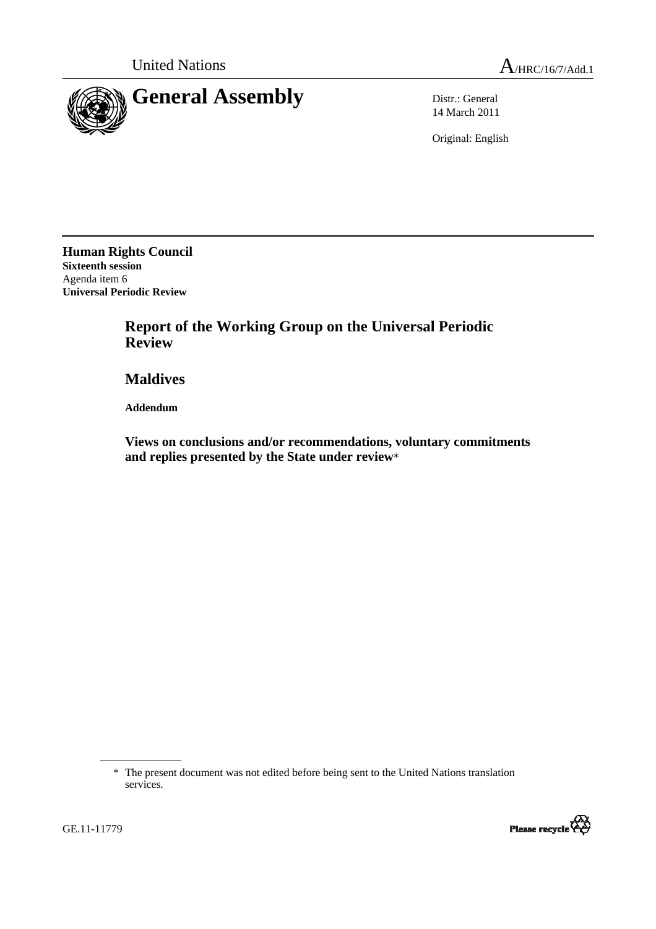

14 March 2011

Original: English

**Human Rights Council Sixteenth session**  Agenda item 6 **Universal Periodic Review** 

> **Report of the Working Group on the Universal Periodic Review**

 **Maldives** 

 **Addendum** 

 **Views on conclusions and/or recommendations, voluntary commitments and replies presented by the State under review**\*

<sup>\*</sup> The present document was not edited before being sent to the United Nations translation services.



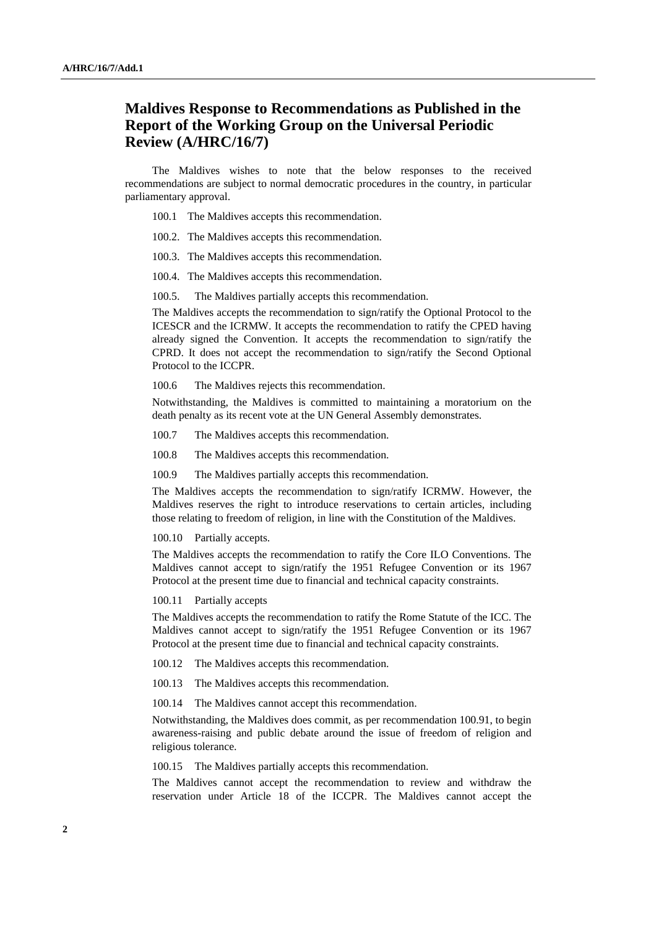## **Maldives Response to Recommendations as Published in the Report of the Working Group on the Universal Periodic Review (A/HRC/16/7)**

The Maldives wishes to note that the below responses to the received recommendations are subject to normal democratic procedures in the country, in particular parliamentary approval.

- 100.1 The Maldives accepts this recommendation.
- 100.2. The Maldives accepts this recommendation.
- 100.3. The Maldives accepts this recommendation.
- 100.4. The Maldives accepts this recommendation.
- 100.5. The Maldives partially accepts this recommendation.

The Maldives accepts the recommendation to sign/ratify the Optional Protocol to the ICESCR and the ICRMW. It accepts the recommendation to ratify the CPED having already signed the Convention. It accepts the recommendation to sign/ratify the CPRD. It does not accept the recommendation to sign/ratify the Second Optional Protocol to the ICCPR.

100.6 The Maldives rejects this recommendation.

Notwithstanding, the Maldives is committed to maintaining a moratorium on the death penalty as its recent vote at the UN General Assembly demonstrates.

- 100.7 The Maldives accepts this recommendation.
- 100.8 The Maldives accepts this recommendation.
- 100.9 The Maldives partially accepts this recommendation.

The Maldives accepts the recommendation to sign/ratify ICRMW. However, the Maldives reserves the right to introduce reservations to certain articles, including those relating to freedom of religion, in line with the Constitution of the Maldives.

100.10 Partially accepts.

The Maldives accepts the recommendation to ratify the Core ILO Conventions. The Maldives cannot accept to sign/ratify the 1951 Refugee Convention or its 1967 Protocol at the present time due to financial and technical capacity constraints.

100.11 Partially accepts

The Maldives accepts the recommendation to ratify the Rome Statute of the ICC. The Maldives cannot accept to sign/ratify the 1951 Refugee Convention or its 1967 Protocol at the present time due to financial and technical capacity constraints.

- 100.12 The Maldives accepts this recommendation.
- 100.13 The Maldives accepts this recommendation.
- 100.14 The Maldives cannot accept this recommendation.

Notwithstanding, the Maldives does commit, as per recommendation 100.91, to begin awareness-raising and public debate around the issue of freedom of religion and religious tolerance.

100.15 The Maldives partially accepts this recommendation.

The Maldives cannot accept the recommendation to review and withdraw the reservation under Article 18 of the ICCPR. The Maldives cannot accept the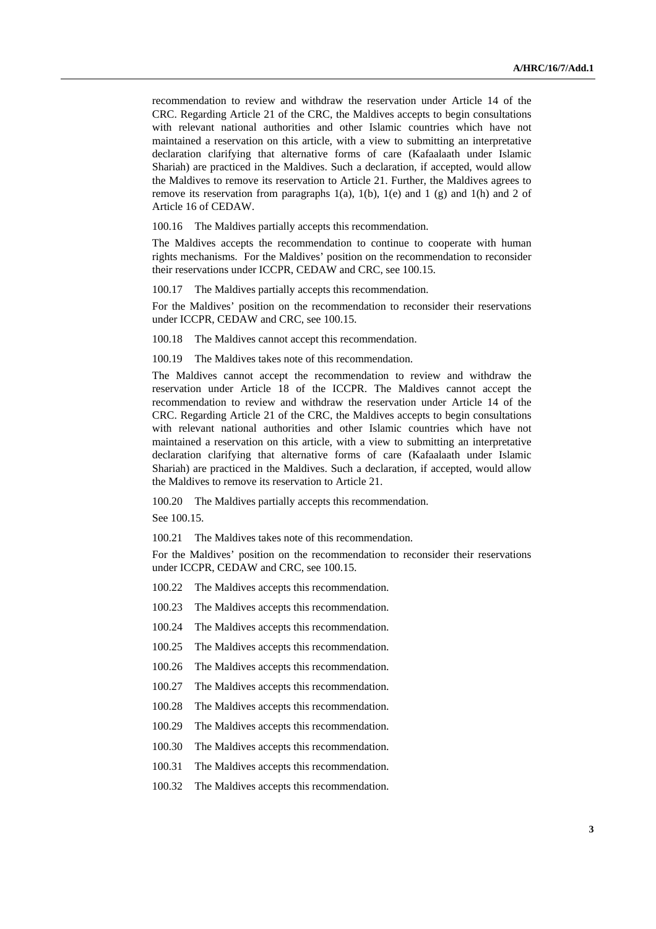recommendation to review and withdraw the reservation under Article 14 of the CRC. Regarding Article 21 of the CRC, the Maldives accepts to begin consultations with relevant national authorities and other Islamic countries which have not maintained a reservation on this article, with a view to submitting an interpretative declaration clarifying that alternative forms of care (Kafaalaath under Islamic Shariah) are practiced in the Maldives. Such a declaration, if accepted, would allow the Maldives to remove its reservation to Article 21. Further, the Maldives agrees to remove its reservation from paragraphs  $1(a)$ ,  $1(b)$ ,  $1(e)$  and  $1(g)$  and  $1(h)$  and  $2$  of Article 16 of CEDAW.

100.16 The Maldives partially accepts this recommendation.

The Maldives accepts the recommendation to continue to cooperate with human rights mechanisms. For the Maldives' position on the recommendation to reconsider their reservations under ICCPR, CEDAW and CRC, see 100.15.

100.17 The Maldives partially accepts this recommendation.

For the Maldives' position on the recommendation to reconsider their reservations under ICCPR, CEDAW and CRC, see 100.15.

100.18 The Maldives cannot accept this recommendation.

100.19 The Maldives takes note of this recommendation.

The Maldives cannot accept the recommendation to review and withdraw the reservation under Article 18 of the ICCPR. The Maldives cannot accept the recommendation to review and withdraw the reservation under Article 14 of the CRC. Regarding Article 21 of the CRC, the Maldives accepts to begin consultations with relevant national authorities and other Islamic countries which have not maintained a reservation on this article, with a view to submitting an interpretative declaration clarifying that alternative forms of care (Kafaalaath under Islamic Shariah) are practiced in the Maldives. Such a declaration, if accepted, would allow the Maldives to remove its reservation to Article 21.

100.20 The Maldives partially accepts this recommendation.

See 100.15.

100.21 The Maldives takes note of this recommendation.

For the Maldives' position on the recommendation to reconsider their reservations under ICCPR, CEDAW and CRC, see 100.15.

100.22 The Maldives accepts this recommendation.

100.23 The Maldives accepts this recommendation.

100.24 The Maldives accepts this recommendation.

100.25 The Maldives accepts this recommendation.

100.26 The Maldives accepts this recommendation.

100.27 The Maldives accepts this recommendation.

100.28 The Maldives accepts this recommendation.

100.29 The Maldives accepts this recommendation.

100.30 The Maldives accepts this recommendation.

100.31 The Maldives accepts this recommendation.

100.32 The Maldives accepts this recommendation.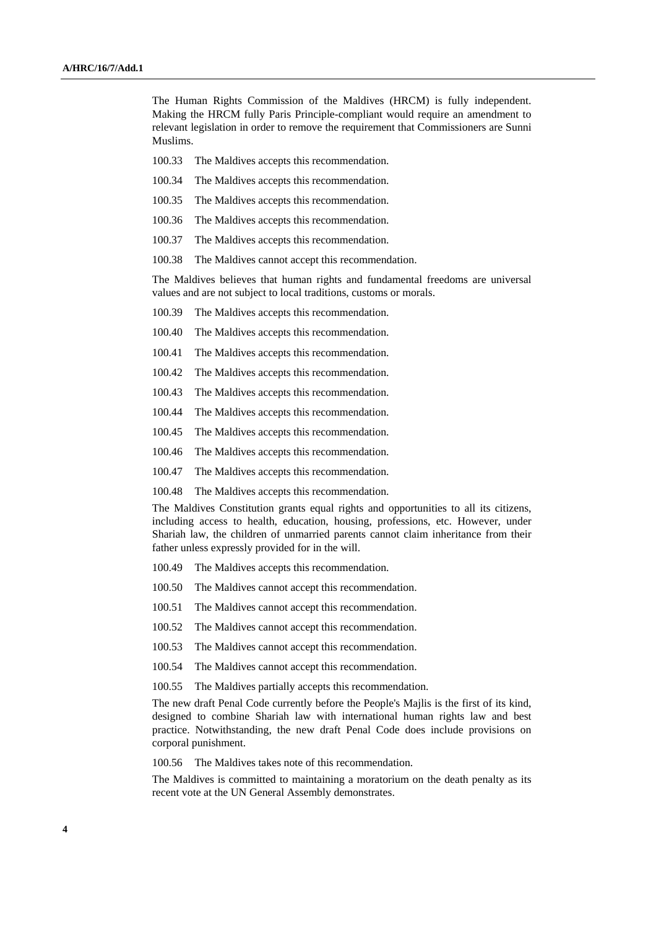The Human Rights Commission of the Maldives (HRCM) is fully independent. Making the HRCM fully Paris Principle-compliant would require an amendment to relevant legislation in order to remove the requirement that Commissioners are Sunni Muslims.

- 100.33 The Maldives accepts this recommendation.
- 100.34 The Maldives accepts this recommendation.
- 100.35 The Maldives accepts this recommendation.
- 100.36 The Maldives accepts this recommendation.
- 100.37 The Maldives accepts this recommendation.
- 100.38 The Maldives cannot accept this recommendation.

The Maldives believes that human rights and fundamental freedoms are universal values and are not subject to local traditions, customs or morals.

- 100.39 The Maldives accepts this recommendation.
- 100.40 The Maldives accepts this recommendation.
- 100.41 The Maldives accepts this recommendation.
- 100.42 The Maldives accepts this recommendation.
- 100.43 The Maldives accepts this recommendation.
- 100.44 The Maldives accepts this recommendation.
- 100.45 The Maldives accepts this recommendation.
- 100.46 The Maldives accepts this recommendation.
- 100.47 The Maldives accepts this recommendation.
- 100.48 The Maldives accepts this recommendation.

The Maldives Constitution grants equal rights and opportunities to all its citizens, including access to health, education, housing, professions, etc. However, under Shariah law, the children of unmarried parents cannot claim inheritance from their father unless expressly provided for in the will.

- 100.49 The Maldives accepts this recommendation.
- 100.50 The Maldives cannot accept this recommendation.
- 100.51 The Maldives cannot accept this recommendation.
- 100.52 The Maldives cannot accept this recommendation.
- 100.53 The Maldives cannot accept this recommendation.
- 100.54 The Maldives cannot accept this recommendation.
- 100.55 The Maldives partially accepts this recommendation.

The new draft Penal Code currently before the People's Majlis is the first of its kind, designed to combine Shariah law with international human rights law and best practice. Notwithstanding, the new draft Penal Code does include provisions on corporal punishment.

100.56 The Maldives takes note of this recommendation.

The Maldives is committed to maintaining a moratorium on the death penalty as its recent vote at the UN General Assembly demonstrates.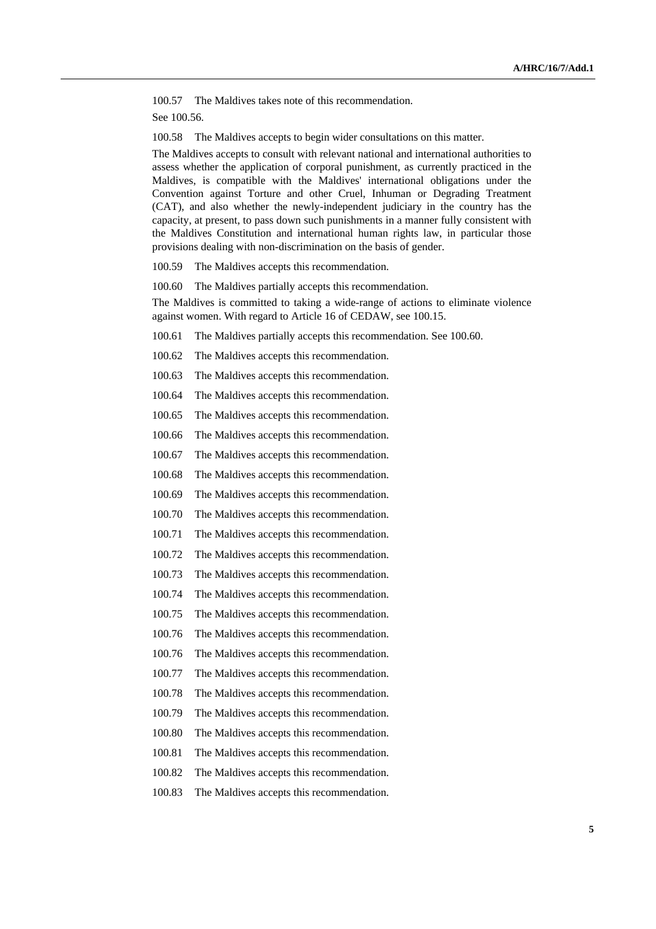100.57 The Maldives takes note of this recommendation. See 100.56.

100.58 The Maldives accepts to begin wider consultations on this matter.

The Maldives accepts to consult with relevant national and international authorities to assess whether the application of corporal punishment, as currently practiced in the Maldives, is compatible with the Maldives' international obligations under the Convention against Torture and other Cruel, Inhuman or Degrading Treatment (CAT), and also whether the newly-independent judiciary in the country has the capacity, at present, to pass down such punishments in a manner fully consistent with the Maldives Constitution and international human rights law, in particular those provisions dealing with non-discrimination on the basis of gender.

100.59 The Maldives accepts this recommendation.

100.60 The Maldives partially accepts this recommendation.

The Maldives is committed to taking a wide-range of actions to eliminate violence against women. With regard to Article 16 of CEDAW, see 100.15.

100.61 The Maldives partially accepts this recommendation. See 100.60.

100.62 The Maldives accepts this recommendation.

100.63 The Maldives accepts this recommendation.

100.64 The Maldives accepts this recommendation.

100.65 The Maldives accepts this recommendation.

100.66 The Maldives accepts this recommendation.

100.67 The Maldives accepts this recommendation.

100.68 The Maldives accepts this recommendation.

100.69 The Maldives accepts this recommendation.

100.70 The Maldives accepts this recommendation.

100.71 The Maldives accepts this recommendation.

100.72 The Maldives accepts this recommendation.

100.73 The Maldives accepts this recommendation.

100.74 The Maldives accepts this recommendation.

100.75 The Maldives accepts this recommendation.

100.76 The Maldives accepts this recommendation.

100.76 The Maldives accepts this recommendation.

100.77 The Maldives accepts this recommendation.

100.78 The Maldives accepts this recommendation.

100.79 The Maldives accepts this recommendation.

100.80 The Maldives accepts this recommendation.

100.81 The Maldives accepts this recommendation.

100.82 The Maldives accepts this recommendation.

100.83 The Maldives accepts this recommendation.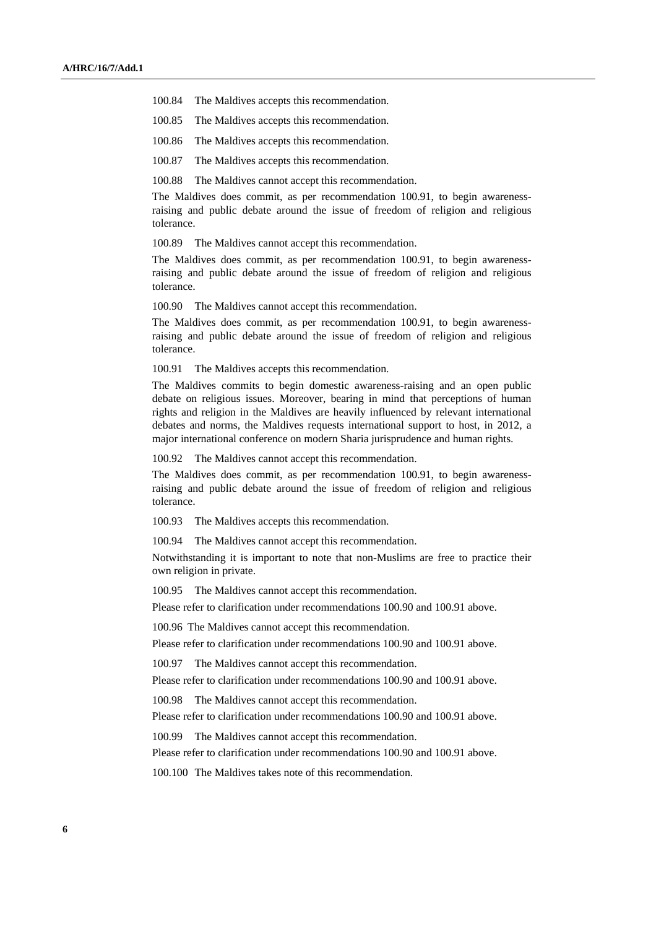- 100.84 The Maldives accepts this recommendation.
- 100.85 The Maldives accepts this recommendation.
- 100.86 The Maldives accepts this recommendation.
- 100.87 The Maldives accepts this recommendation.
- 100.88 The Maldives cannot accept this recommendation.

The Maldives does commit, as per recommendation 100.91, to begin awarenessraising and public debate around the issue of freedom of religion and religious tolerance.

100.89 The Maldives cannot accept this recommendation.

The Maldives does commit, as per recommendation 100.91, to begin awarenessraising and public debate around the issue of freedom of religion and religious tolerance.

100.90 The Maldives cannot accept this recommendation.

The Maldives does commit, as per recommendation 100.91, to begin awarenessraising and public debate around the issue of freedom of religion and religious tolerance.

100.91 The Maldives accepts this recommendation.

The Maldives commits to begin domestic awareness-raising and an open public debate on religious issues. Moreover, bearing in mind that perceptions of human rights and religion in the Maldives are heavily influenced by relevant international debates and norms, the Maldives requests international support to host, in 2012, a major international conference on modern Sharia jurisprudence and human rights.

100.92 The Maldives cannot accept this recommendation.

The Maldives does commit, as per recommendation 100.91, to begin awarenessraising and public debate around the issue of freedom of religion and religious tolerance.

100.93 The Maldives accepts this recommendation.

100.94 The Maldives cannot accept this recommendation.

Notwithstanding it is important to note that non-Muslims are free to practice their own religion in private.

100.95 The Maldives cannot accept this recommendation.

Please refer to clarification under recommendations 100.90 and 100.91 above.

100.96 The Maldives cannot accept this recommendation.

Please refer to clarification under recommendations 100.90 and 100.91 above.

100.97 The Maldives cannot accept this recommendation.

Please refer to clarification under recommendations 100.90 and 100.91 above.

100.98 The Maldives cannot accept this recommendation.

Please refer to clarification under recommendations 100.90 and 100.91 above.

100.99 The Maldives cannot accept this recommendation.

Please refer to clarification under recommendations 100.90 and 100.91 above.

100.100 The Maldives takes note of this recommendation.